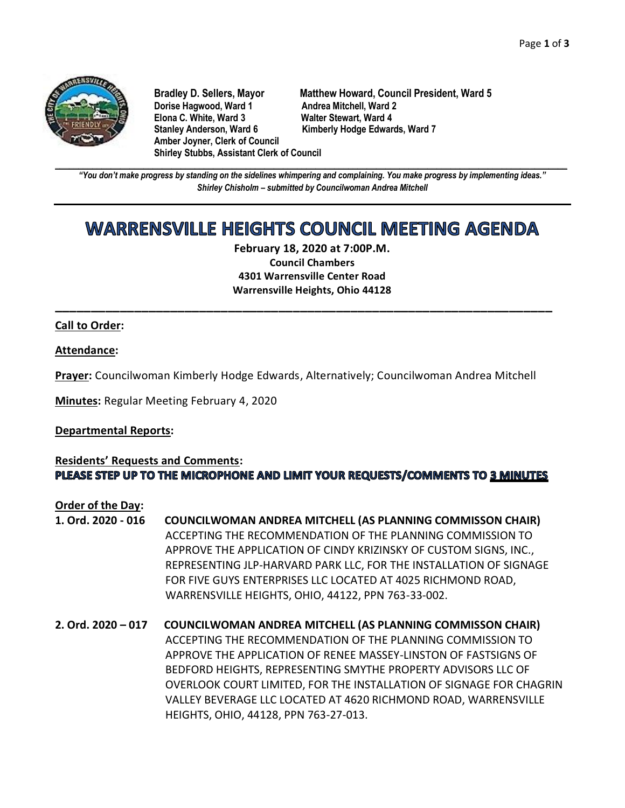

**Dorise Hagwood, Ward 1 Andrea Mitchell, Ward 2<br>11 Elona C. White. Ward 3 Andre Walter Stewart. Ward 4 Elona C. White, Ward 3 Stanley Anderson, Ward 6 Kimberly Hodge Edwards, Ward 7 Amber Joyner, Clerk of Council Shirley Stubbs, Assistant Clerk of Council**

**Bradley D. Sellers, Mayor Matthew Howard, Council President, Ward 5**

**\_\_\_\_\_\_\_\_\_\_\_\_\_\_\_\_\_\_\_\_\_\_\_\_\_\_\_\_\_\_\_\_\_\_\_\_\_\_\_\_\_\_\_\_\_\_\_\_\_\_\_\_\_\_\_\_\_\_\_\_\_\_\_\_\_\_\_\_\_\_\_\_\_\_\_\_\_\_\_\_\_\_\_\_\_\_\_\_\_\_\_\_\_\_\_\_\_\_\_\_\_\_\_\_\_\_\_\_\_\_** *"You don't make progress by standing on the sidelines whimpering and complaining. You make progress by implementing ideas." Shirley Chisholm – submitted by Councilwoman Andrea Mitchell*

# **WARRENSVILLE HEIGHTS COUNCIL MEETING AGENDA**

**February 18, 2020 at 7:00P.M. Council Chambers 4301 Warrensville Center Road Warrensville Heights, Ohio 44128**

**\_\_\_\_\_\_\_\_\_\_\_\_\_\_\_\_\_\_\_\_\_\_\_\_\_\_\_\_\_\_\_\_\_\_\_\_\_\_\_\_\_\_\_\_\_\_\_\_\_\_\_\_\_\_\_\_\_\_\_\_\_\_\_\_\_\_\_\_\_**

# **Call to Order:**

### **Attendance:**

**Prayer:** Councilwoman Kimberly Hodge Edwards, Alternatively; Councilwoman Andrea Mitchell

**Minutes:** Regular Meeting February 4, 2020

### **Departmental Reports:**

# **Residents' Requests and Comments:** PLEASE STEP UP TO THE MICROPHONE AND LIMIT YOUR REQUESTS/COMMENTS TO 3 MINUTES

### **Order of the Day:**

- **1. Ord. 2020 - 016 COUNCILWOMAN ANDREA MITCHELL (AS PLANNING COMMISSON CHAIR)** ACCEPTING THE RECOMMENDATION OF THE PLANNING COMMISSION TO APPROVE THE APPLICATION OF CINDY KRIZINSKY OF CUSTOM SIGNS, INC., REPRESENTING JLP-HARVARD PARK LLC, FOR THE INSTALLATION OF SIGNAGE FOR FIVE GUYS ENTERPRISES LLC LOCATED AT 4025 RICHMOND ROAD, WARRENSVILLE HEIGHTS, OHIO, 44122, PPN 763-33-002.
- **2. Ord. 2020 – 017 COUNCILWOMAN ANDREA MITCHELL (AS PLANNING COMMISSON CHAIR)** ACCEPTING THE RECOMMENDATION OF THE PLANNING COMMISSION TO APPROVE THE APPLICATION OF RENEE MASSEY-LINSTON OF FASTSIGNS OF BEDFORD HEIGHTS, REPRESENTING SMYTHE PROPERTY ADVISORS LLC OF OVERLOOK COURT LIMITED, FOR THE INSTALLATION OF SIGNAGE FOR CHAGRIN VALLEY BEVERAGE LLC LOCATED AT 4620 RICHMOND ROAD, WARRENSVILLE HEIGHTS, OHIO, 44128, PPN 763-27-013.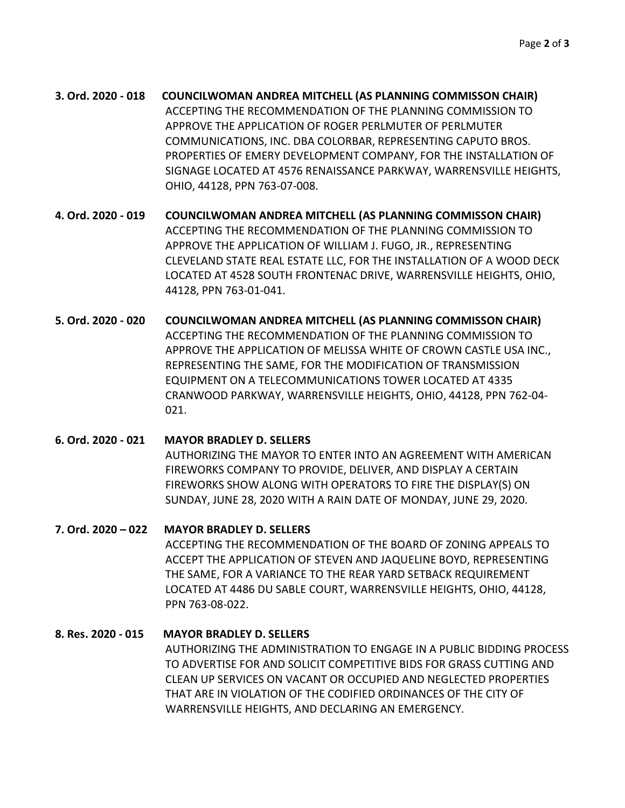**3. Ord. 2020 - 018 COUNCILWOMAN ANDREA MITCHELL (AS PLANNING COMMISSON CHAIR)** ACCEPTING THE RECOMMENDATION OF THE PLANNING COMMISSION TO APPROVE THE APPLICATION OF ROGER PERLMUTER OF PERLMUTER COMMUNICATIONS, INC. DBA COLORBAR, REPRESENTING CAPUTO BROS. PROPERTIES OF EMERY DEVELOPMENT COMPANY, FOR THE INSTALLATION OF SIGNAGE LOCATED AT 4576 RENAISSANCE PARKWAY, WARRENSVILLE HEIGHTS, OHIO, 44128, PPN 763-07-008.

**4. Ord. 2020 - 019 COUNCILWOMAN ANDREA MITCHELL (AS PLANNING COMMISSON CHAIR)** ACCEPTING THE RECOMMENDATION OF THE PLANNING COMMISSION TO APPROVE THE APPLICATION OF WILLIAM J. FUGO, JR., REPRESENTING CLEVELAND STATE REAL ESTATE LLC, FOR THE INSTALLATION OF A WOOD DECK LOCATED AT 4528 SOUTH FRONTENAC DRIVE, WARRENSVILLE HEIGHTS, OHIO, 44128, PPN 763-01-041.

**5. Ord. 2020 - 020 COUNCILWOMAN ANDREA MITCHELL (AS PLANNING COMMISSON CHAIR)** ACCEPTING THE RECOMMENDATION OF THE PLANNING COMMISSION TO APPROVE THE APPLICATION OF MELISSA WHITE OF CROWN CASTLE USA INC., REPRESENTING THE SAME, FOR THE MODIFICATION OF TRANSMISSION EQUIPMENT ON A TELECOMMUNICATIONS TOWER LOCATED AT 4335 CRANWOOD PARKWAY, WARRENSVILLE HEIGHTS, OHIO, 44128, PPN 762-04-  $021.$ 

# **6. Ord. 2020 - 021 MAYOR BRADLEY D. SELLERS** AUTHORIZING THE MAYOR TO ENTER INTO AN AGREEMENT WITH AMERICAN FIREWORKS COMPANY TO PROVIDE, DELIVER, AND DISPLAY A CERTAIN FIREWORKS SHOW ALONG WITH OPERATORS TO FIRE THE DISPLAY(S) ON SUNDAY, JUNE 28, 2020 WITH A RAIN DATE OF MONDAY, JUNE 29, 2020.

# **7. Ord. 2020 – 022 MAYOR BRADLEY D. SELLERS**

ACCEPTING THE RECOMMENDATION OF THE BOARD OF ZONING APPEALS TO ACCEPT THE APPLICATION OF STEVEN AND JAQUELINE BOYD, REPRESENTING THE SAME, FOR A VARIANCE TO THE REAR YARD SETBACK REQUIREMENT LOCATED AT 4486 DU SABLE COURT, WARRENSVILLE HEIGHTS, OHIO, 44128, PPN 763-08-022.

# **8. Res. 2020 - 015 MAYOR BRADLEY D. SELLERS**

AUTHORIZING THE ADMINISTRATION TO ENGAGE IN A PUBLIC BIDDING PROCESS TO ADVERTISE FOR AND SOLICIT COMPETITIVE BIDS FOR GRASS CUTTING AND CLEAN UP SERVICES ON VACANT OR OCCUPIED AND NEGLECTED PROPERTIES THAT ARE IN VIOLATION OF THE CODIFIED ORDINANCES OF THE CITY OF WARRENSVILLE HEIGHTS, AND DECLARING AN EMERGENCY.